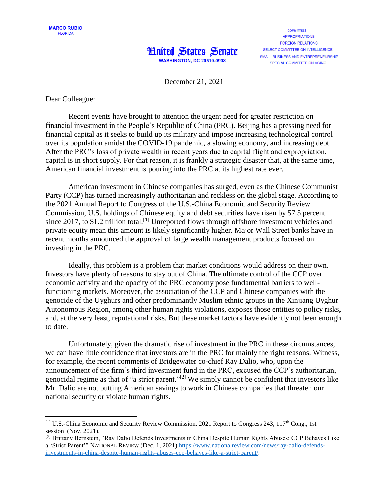



**COMMITTEES APPROPRIATIONS FORFIGN RELATIONS** SELECT COMMITTEE ON INTELLIGENCE SMALL BUSINESS AND ENTREPRENEURSHIP SPECIAL COMMITTEE ON AGING

December 21, 2021

Dear Colleague:

 $\overline{a}$ 

Recent events have brought to attention the urgent need for greater restriction on financial investment in the People's Republic of China (PRC). Beijing has a pressing need for financial capital as it seeks to build up its military and impose increasing technological control over its population amidst the COVID-19 pandemic, a slowing economy, and increasing debt. After the PRC's loss of private wealth in recent years due to capital flight and expropriation, capital is in short supply. For that reason, it is frankly a strategic disaster that, at the same time, American financial investment is pouring into the PRC at its highest rate ever.

American investment in Chinese companies has surged, even as the Chinese Communist Party (CCP) has turned increasingly authoritarian and reckless on the global stage. According to the 2021 Annual Report to Congress of the U.S.-China Economic and Security Review Commission, U.S. holdings of Chinese equity and debt securities have risen by 57.5 percent since 2017, to \$1.2 trillion total.<sup>[1]</sup> Unreported flows through offshore investment vehicles and private equity mean this amount is likely significantly higher. Major Wall Street banks have in recent months announced the approval of large wealth management products focused on investing in the PRC.

Ideally, this problem is a problem that market conditions would address on their own. Investors have plenty of reasons to stay out of China. The ultimate control of the CCP over economic activity and the opacity of the PRC economy pose fundamental barriers to wellfunctioning markets. Moreover, the association of the CCP and Chinese companies with the genocide of the Uyghurs and other predominantly Muslim ethnic groups in the Xinjiang Uyghur Autonomous Region, among other human rights violations, exposes those entities to policy risks, and, at the very least, reputational risks. But these market factors have evidently not been enough to date.

Unfortunately, given the dramatic rise of investment in the PRC in these circumstances, we can have little confidence that investors are in the PRC for mainly the right reasons. Witness, for example, the recent comments of Bridgewater co-chief Ray Dalio, who, upon the announcement of the firm's third investment fund in the PRC, excused the CCP's authoritarian, genocidal regime as that of "a strict parent."[2] We simply cannot be confident that investors like Mr. Dalio are not putting American savings to work in Chinese companies that threaten our national security or violate human rights.

<sup>[1]</sup> U.S.-China Economic and Security Review Commission, 2021 Report to Congress 243, 117th Cong., 1st session (Nov. 2021).

<sup>&</sup>lt;sup>[2]</sup> Brittany Bernstein, "Ray Dalio Defends Investments in China Despite Human Rights Abuses: CCP Behaves Like a 'Strict Parent'" NATIONAL REVIEW (Dec. 1, 2021) [https://www.nationalreview.com/news/ray-dalio-defends](https://www.nationalreview.com/news/ray-dalio-defends-investments-in-china-despite-human-rights-abuses-ccp-behaves-like-a-strict-parent/)[investments-in-china-despite-human-rights-abuses-ccp-behaves-like-a-strict-parent/.](https://www.nationalreview.com/news/ray-dalio-defends-investments-in-china-despite-human-rights-abuses-ccp-behaves-like-a-strict-parent/)